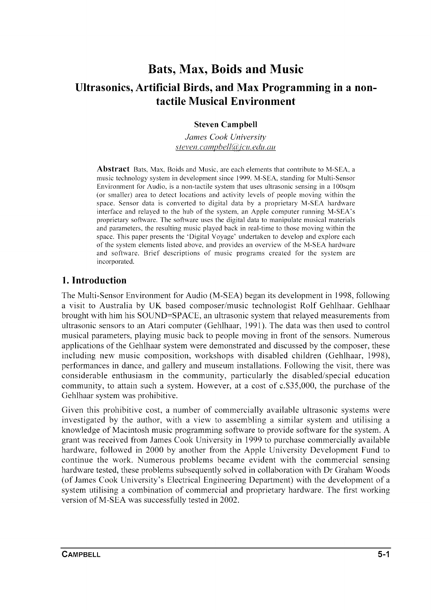# **Bats, Max, Boids and Music Ultrasonics, Artificial Birds, and Max Programming in a nontactile Musical Environment**

#### **Steven Campbell**

*James Cook University steven.* campbell~l)jcll. *edll.all* 

**Abstract** Bats, Max, Boids and Music, are each elements that contribute to M-SEA, a music technology system in development since 1999. M-SEA, standing for Multi-Sensor Environment for Audio, is a non-tactile system that uses ultrasonic sensing in a IOOsqm (or smaller) area to detect locations and activity levels of people moving within the space. Sensor data is converted to digital data by a proprietary M-SEA hardware interface and relayed to the hub of the system, an Apple computer running M-SEA's proprietary software. The software uses the digital data to manipulate musical materials and parameters, the resulting music played back in real-time to those moving within the space. This paper presents the' Digital Voyage' undertaken to develop and explore each of the system elements listed above, and provides an overview of the M-SEA hardware and software. Brief descriptions of music programs created for the system are incorporated.

#### **1. Introduction**

The Multi-Sensor Environment for Audio (M-SEA) began its development in 1998, following a visit to Australia by UK based composer/music technologist Rolf Gehlhaar. Gehlhaar brought with him his SOUND=SPACE, an ultrasonic system that relayed measurements from ultrasonic sensors to an Atari computer (Gehlhaar, 1991). The data was then used to control musical parameters, playing music back to people moving in front of the sensors. Numerous applications of the Gehlhaar system were demonstrated and discussed by the composer, these including new music composition, workshops with disabled children (Gehlhaar, 1998), performances in dance, and gallery and museum installations. Following the visit, there was considerable enthusiasm in the community, particularly the disabled/special education community, to attain such a system. However, at a cost of c.\$35,000, the purchase of the Gehlhaar system was prohibitive.

Given this prohibitive cost, a number of commercially available ultrasonic systems were investigated by the author, with a view to assembling a similar system and utilising a knowledge of Macintosh music programming software to provide software for the system. A grant was received from James Cook University in 1999 to purchase commercially available hardware, followed in 2000 by another from the Apple University Development Fund to continue the work. Numerous problems became evident with the commercial sensing hardware tested, these problems subsequently solved in collaboration with Dr Graham Woods (of James Cook University's Electrical Engineering Department) with the development of a system utilising a combination of commercial and proprietary hardware. The first working version of M-SEA was successfully tested in 2002.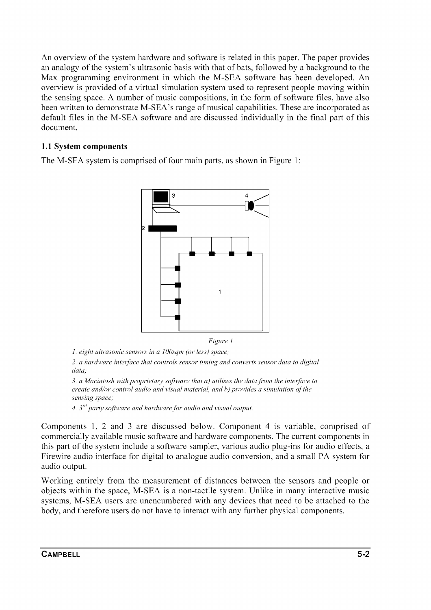An overview of the system hardware and software is related in this paper. The paper provides an analogy of the system's ultrasonic basis with that of bats, followed by a background to the Max programming environment in which the M-SEA software has been developed. An overview is provided of a virtual simulation system used to represent people moving within the sensing space. A number of music compositions, in the form of software files, have also been written to demonstrate M-SEA's range of musical capabilities. These are incorporated as default files in the M-SEA software and are discussed individually in the final part of this document.

#### **1.1 System components**

The M-SEA system is comprised of four main parts, as shown in Figure 1:



*1. eight ultrasonic sensors in a 100sqm (or less) space;* 

*2. a hardware inter/ace that controls sensor timing and converts sensor data to digital data;* 

*3. a Macintosh with proprietary software that a) utilises the datafi'om the interface to create and/or control audio and visual material, and h) provides a simulation of'the sensing space;* 

*4. 3rd party software and hardware for audio and visual output.* 

Components 1, 2 and 3 are discussed below. Component 4 is variable, comprised of commercially available music software and hardware components. The current components in this part of the system include a software sampler, various audio plug-ins for audio effects, a Firewire audio interface for digital to analogue audio conversion, and a small PA system for audio output.

Working entirely from the measurement of distances between the sensors and people or objects within the space, M-SEA is a non-tactile system. Unlike in many interactive music systems, M-SEA users are unencumbered with any devices that need to be attached to the body, and therefore users do not have to interact with any further physical components.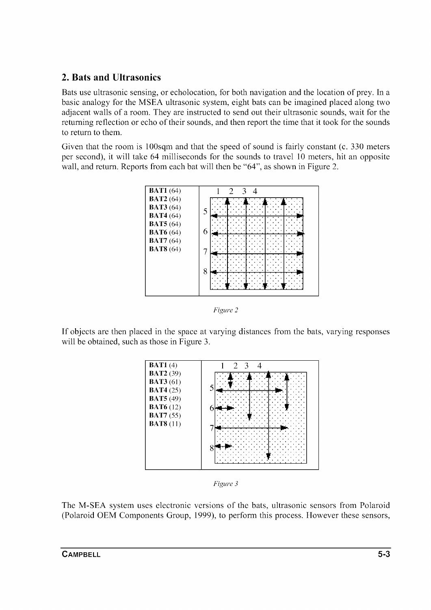### 2. Bats and Ultrasonics

Bats use ultrasonic sensing, or echolocation, for both navigation and the location of prey. In a basic analogy for the MSEA ultrasonic system, eight bats can be imagined placed along two adjacent walls of a room. They are instructed to send out their ultrasonic sounds, wait for the returning reflection or echo of their sounds, and then report the time that it took for the sounds to return to them.

Given that the room is 100sqm and that the speed of sound is fairly constant (c. 330 meters per second), it will take 64 milliseconds for the sounds to travel 10 meters, hit an opposite wall, and return. Reports from each bat will then be "64", as shown in Figure 2.



*Figure 2* 

If objects are then placed in the space at varying distances from the bats, varying responses will be obtained, such as those in Figure 3.





The M-SEA system uses electronic versions of the bats, ultrasonic sensors from Polaroid (Polaroid OEM Components Group, 1999), to perform this process. However these sensors,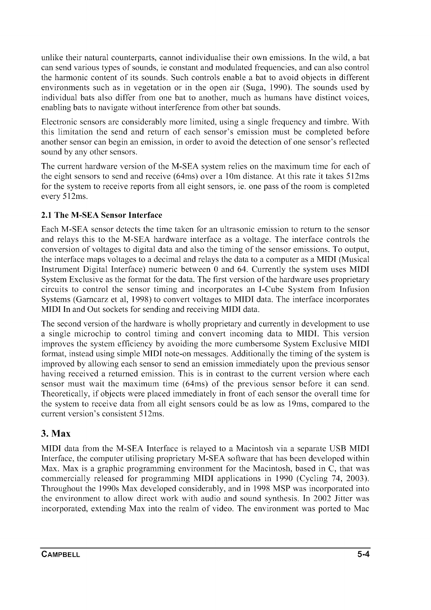unlike their natural counterparts, cannot individualise their own emissions. **In** the wild, a bat can send various types of sounds, ie constant and modulated frequencies, and can also control the harmonic content of its sounds. Such controls enable a bat to avoid objects in different environments such as in vegetation or in the open air (Suga, 1990). The sounds used by individual bats also differ from one bat to another, much as humans have distinct voices, enabling bats to navigate without interference from other bat sounds.

Electronic sensors are considerably more limited, using a single frequency and timbre. With this limitation the send and return of each sensor's emission must be completed before another sensor can begin an emission, in order to avoid the detection of one sensor's reflected sound by any other sensors.

The current hardware version of the M-SEA system relies on the maximum time for each of the eight sensors to send and receive (64ms) over a 10m distance. At this rate it takes 512ms for the system to receive reports from all eight sensors, ie. one pass of the room is completed every 512ms.

#### **2.1 The M-SEA Sensor Interface**

Each M-SEA sensor detects the time taken for an ultrasonic emission to return to the sensor and relays this to the M-SEA hardware interface as a voltage. The interface controls the conversion of voltages to digital data and also the timing of the sensor emissions. To output, the interface maps voltages to a decimal and relays the data to a computer as a **MIDI** (Musical Instrument Digital Interface) numeric between 0 and 64. Currently the system uses **MIDI**  System Exclusive as the format for the data. The first version of the hardware uses proprietary circuits to control the sensor timing and incorporates an I-Cube System from Infusion Systems (Garncarz et aI, 1998) to convert voltages to **MIDI** data. The interface incorporates **MIDI In** and Out sockets for sending and receiving **MIDI** data.

The second version of the hardware is wholly proprietary and currently in development to use a single microchip to control timing and convert incoming data to **MIDI.** This version improves the system efficiency by avoiding the more cumbersome System Exclusive **MIDI**  format, instead using simple **MIDI** note-on messages. Additionally the timing of the system is improved by allowing each sensor to send an emission immediately upon the previous sensor having received a returned emission. This is in contrast to the current version where each sensor must wait the maximum time (64ms) of the previous sensor before it can send. Theoretically, if objects were placed immediately in front of each sensor the overall time for the system to receive data from all eight sensors could be as low as 19ms, compared to the current version's consistent 512ms.

### 3. Max

**MIDI** data from the M-SEA Interface is relayed to a Macintosh via a separate USB **MIDI**  Interface, the computer utilising proprietary M-SEA software that has been developed within Max. Max is a graphic programming environment for the Macintosh, based in C, that was commercially released for programming **MIDI** applications in 1990 (Cycling 74, 2003). Throughout the 1990s Max developed considerably, and in 1998 MSP was incorporated into the environment to allow direct work with audio and sound synthesis. **In** 2002 Jitter was incorporated, extending Max into the realm of video. The environment was ported to Mac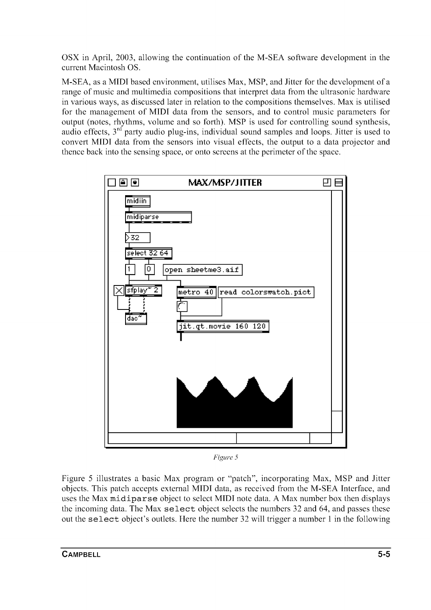OSX in April, 2003, allowing the continuation of the M-SEA software development in the current Macintosh OS.

M-SEA, as a **MIDI** based environment, utilises Max, MSP, and Jitter for the development of a range of music and multimedia compositions that interpret data from the ultrasonic hardware in various ways, as discussed later in relation to the compositions themselves. Max is utilised for the management of **MIDI** data from the sensors, and to control music parameters for output (notes, rhythms, volume and so forth). MSP is used for controlling sound synthesis, audio effects,  $3<sup>rd</sup>$  party audio plug-ins, individual sound samples and loops. Jitter is used to convert **MIDI** data from the sensors into visual effects, the output to a data projector and thence back into the sensing space, or onto screens at the perimeter of the space.



*Figure 5* 

Figure 5 illustrates a basic Max program or "patch", incorporating Max, MSP and Jitter objects. This patch accepts external **MIDI** data, as received from the M-SEA Interface, and uses the Max rnidiparse object to select **MIDI** note data. A Max number box then displays the incoming data. The Max select object selects the numbers 32 and 64, and passes these out the select object's outlets. Here the number 32 will trigger a number 1 in the following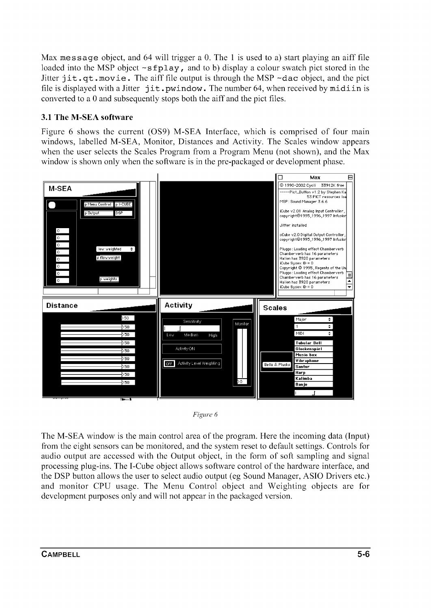Max message object, and 64 will trigger a 0. The 1 is used to a) start playing an aiff file loaded into the MSP object  $\sim$ sfplay, and to b) display a colour swatch pict stored in the Jitter  $\text{jit.qt.movie.}$  The aiff file output is through the MSP  $\sim$ dac object, and the pict file is displayed with a Jitter  $j$ it. pwindow. The number 64, when received by midiin is converted to a 0 and subsequently stops both the aiff and the pict files.

#### 3.1 The M-SEA software

Figure 6 shows the current (OS9) M-SEA Interface, which is comprised of four main windows, labelled M-SEA, Monitor, Distances and Activity. The Scales window appears when the user selects the Scales Program from a Program Menu (not shown), and the Max window is shown only when the software is in the pre-packaged or development phase.





The M-SEA window is the main control area of the program. Here the incoming data (Input) from the eight sensors can be monitored, and the system reset to default settings. Controls for audio output are accessed with the Output object, in the form of soft sampling and signal processing plug-ins. The I-Cube object allows software control of the hardware interface, and the DSP button allows the user to select audio output (eg Sound Manager, ASIO Drivers etc.) and monitor CPU usage. The Menu Control object and Weighting objects are for development purposes only and will not appear in the packaged version.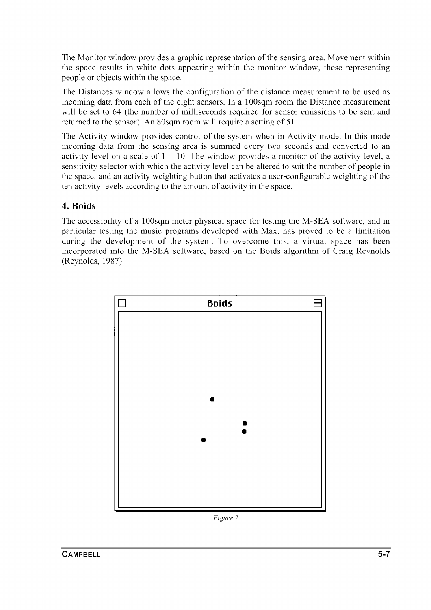The Monitor window provides a graphic representation of the sensing area. Movement within the space results in white dots appearing within the monitor window, these representing people or objects within the space.

The Distances window allows the configuration of the distance measurement to be used as incoming data from each of the eight sensors. **In** a 100sqm room the Distance measurement will be set to 64 (the number of milliseconds required for sensor emissions to be sent and returned to the sensor). An 80sqm room will require a setting of 51.

The Activity window provides control of the system when in Activity mode. **In** this mode incoming data from the sensing area is summed every two seconds and converted to an activity level on a scale of  $1 - 10$ . The window provides a monitor of the activity level, a sensitivity selector with which the activity level can be altered to suit the number of people in the space, and an activity weighting button that activates a user-configurable weighting of the ten activity levels according to the amount of activity in the space.

### **4. Boids**

The accessibility of a 100sqm meter physical space for testing the M-SEA software, and in particular testing the music programs developed with Max, has proved to be a limitation during the development of the system. To overcome this, a virtual space has been incorporated into the M-SEA software, based on the Boids algorithm of Craig Reynolds (Reynolds, 1987).



*Figure 7*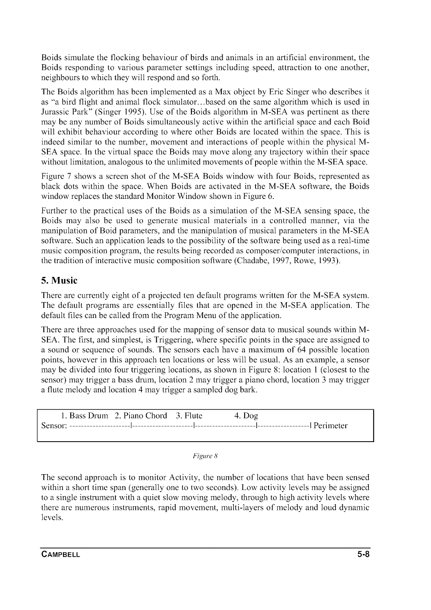Boids simulate the flocking behaviour of birds and animals in an artificial environment, the Boids responding to various parameter settings including speed, attraction to one another, neighbours to which they will respond and so forth.

The Boids algorithm has been implemented as a Max object by Eric Singer who describes it as "a bird flight and animal flock simulator ... based on the same algorithm which is used in Jurassic Park" (Singer 1995). Use of the Boids algorithm in M-SEA was pertinent as there may be any number of Boids simultaneously active within the artificial space and each Boid will exhibit behaviour according to where other Boids are located within the space. This is indeed similar to the number, movement and interactions of people within the physical M-SEA space. In the virtual space the Boids may move along any trajectory within their space without limitation, analogous to the unlimited movements of people within the M-SEA space.

Figure 7 shows a screen shot of the M-SEA Boids window with four Boids, represented as black dots within the space. When Boids are activated in the M-SEA software, the Boids window replaces the standard Monitor Window shown in Figure 6.

Further to the practical uses of the Boids as a simulation of the M-SEA sensing space, the Boids may also be used to generate musical materials in a controlled manner, via the manipulation of Boid parameters, and the manipulation of musical parameters in the M -SEA software. Such an application leads to the possibility of the software being used as a real-time music composition program, the results being recorded as composer/computer interactions, in the tradition of interactive music composition software (Chadabe, 1997, Rowe, 1993).

### **5. Music**

There are currently eight of a projected ten default programs written for the M-SEA system. The default programs are essentially files that are opened in the M-SEA application. The default files can be called from the Program Menu of the application.

There are three approaches used for the mapping of sensor data to musical sounds within M-SEA. The first, and simplest, is Triggering, where specific points in the space are assigned to a sound or sequence of sounds. The sensors each have a maximum of 64 possible location points, however in this approach ten locations or less will be usual. As an example, a sensor may be divided into four triggering locations, as shown in Figure 8: location 1 (closest to the sensor) may trigger a bass drum, location 2 may trigger a piano chord, location 3 may trigger a flute melody and location 4 may trigger a sampled dog bark.

| 1. Bass Drum 2. Piano Chord 3. Flute | 4. Dog |  |
|--------------------------------------|--------|--|
|                                      |        |  |
|                                      |        |  |

| Figure 8 |  |  |
|----------|--|--|
|----------|--|--|

The second approach is to monitor Activity, the number of locations that have been sensed within a short time span (generally one to two seconds). Low activity levels may be assigned to a single instrument with a quiet slow moving melody, through to high activity levels where there are numerous instruments, rapid movement, multi-layers of melody and loud dynamic levels.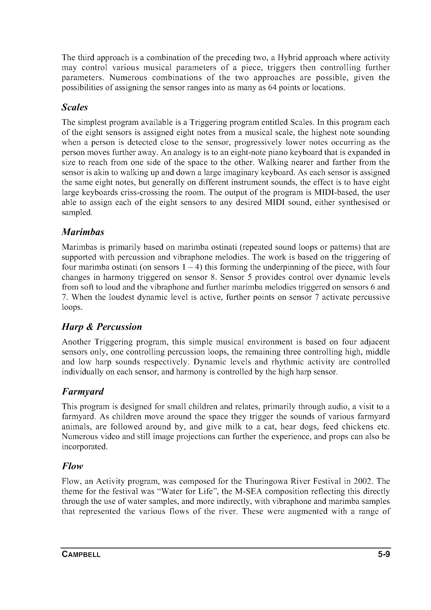The third approach is a combination of the preceding two, a Hybrid approach where activity may control various musical parameters of a piece, triggers then controlling further parameters. Numerous combinations of the two approaches are possible, given the possibilities of assigning the sensor ranges into as many as 64 points or locations.

### *Scales*

The simplest program available is a Triggering program entitled Scales. **In** this program each of the eight sensors is assigned eight notes from a musical scale, the highest note sounding when a person is detected close to the sensor, progressively lower notes occurring as the person moves further away. An analogy is to an eight-note piano keyboard that is expanded in size to reach from one side of the space to the other. Walking nearer and farther from the sensor is akin to walking up and down a large imaginary keyboard. As each sensor is assigned the same eight notes, but generally on different instrument sounds, the effect is to have eight large keyboards criss-crossing the room. The output of the program is MIDI-based, the user able to assign each of the eight sensors to any desired **MIDI** sound, either synthesised or sampled.

### *Marimbas*

Marimbas is primarily based on marimba ostinati (repeated sound loops or patterns) that are supported with percussion and vibraphone melodies. The work is based on the triggering of four marimba ostinati (on sensors  $1 - 4$ ) this forming the underpinning of the piece, with four changes in harmony triggered on sensor 8. Sensor 5 provides control over dynamic levels from soft to loud and the vibraphone and further marimba melodies triggered on sensors 6 and 7. When the loudest dynamic level is active, further points on sensor 7 activate percussive loops.

# *Harp* **&** *Percussion*

Another Triggering program, this simple musical environment is based on four adjacent sensors only, one controlling percussion loops, the remaining three controlling high, middle and low harp sounds respectively. Dynamic levels and rhythmic activity are controlled individually on each sensor, and harmony is controlled by the high harp sensor.

### *Farmyard*

This program is designed for small children and relates, primarily through audio, a visit to a farmyard. As children move around the space they trigger the sounds of various farmyard animals, are followed around by, and give milk to a cat, hear dogs, feed chickens etc. Numerous video and still image projections can further the experience, and props can also be incorporated.

### *Flow*

Flow, an Activity program, was composed for the Thuringowa River Festival in 2002. The theme for the festival was "Water for Life", the M-SEA composition reflecting this directly through the use of water samples, and more indirectly, with vibraphone and marimba samples that represented the various flows of the river. These were augmented with a range of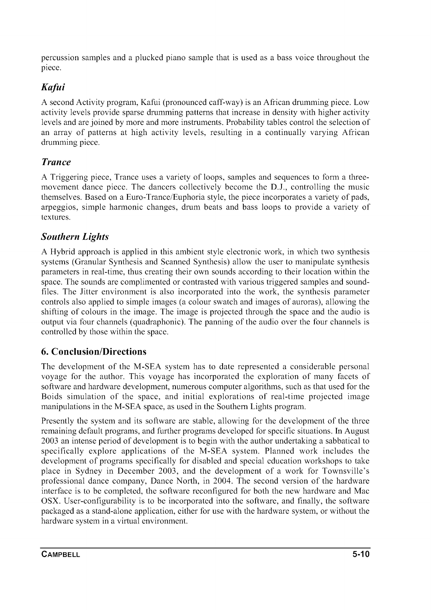percussion samples and a plucked piano sample that is used as a bass voice throughout the piece.

# *Kafui*

A second Activity program, Kafui (pronounced caff-way) is an African drumming piece. Low activity levels provide sparse drumming patterns that increase in density with higher activity levels and are joined by more and more instruments. Probability tables control the selection of an array of patterns at high activity levels, resulting in a continually varying African drumming piece.

## *Trance*

A Triggering piece, Trance uses a variety of loops, samples and sequences to form a threemovement dance piece. The dancers collectively become the D.l, controlling the music themselves. Based on a Euro-Trance/Euphoria style, the piece incorporates a variety of pads, arpeggios, simple harmonic changes, drum beats and bass loops to provide a variety of textures.

### *Southern Lights*

A Hybrid approach is applied in this ambient style electronic work, in which two synthesis systems (Granular Synthesis and Scanned Synthesis) allow the user to manipulate synthesis parameters in real-time, thus creating their own sounds according to their location within the space. The sounds are complimented or contrasted with various triggered samples and soundfiles. The Jitter environment is also incorporated into the work, the synthesis parameter controls also applied to simple images (a colour swatch and images of auroras), allowing the shifting of colours in the image. The image is projected through the space and the audio is output via four channels (quadraphonic). The panning of the audio over the four channels is controlled by those within the space.

### **6. Conclusion/Directions**

The development of the M-SEA system has to date represented a considerable personal voyage for the author. This voyage has incorporated the exploration of many facets of software and hardware development, numerous computer algorithms, such as that used for the Boids simulation of the space, and initial explorations of real-time projected image manipulations in the M-SEA space, as used in the Southern Lights program.

Presently the system and its software are stable, allowing for the development of the three remaining default programs, and further programs developed for specific situations. **In** August 2003 an intense period of development is to begin with the author undertaking a sabbatical to specifically explore applications of the M-SEA system. Planned work includes the development of programs specifically for disabled and special education workshops to take place in Sydney in December 2003, and the development of a work for Townsville's professional dance company, Dance North, in 2004. The second version of the hardware interface is to be completed, the software reconfigured for both the new hardware and Mac OSX. User-configurability is to be incorporated into the software, and finally, the software packaged as a stand-alone application, either for use with the hardware system, or without the hardware system in a virtual environment.